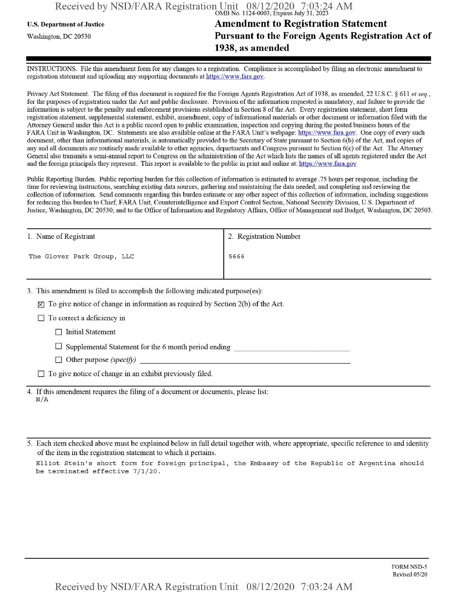## Received by NSD/FARA Registration Unit 08/12/2020 7:03:24 AM<br>
OMB No. 1124-0003; Expires July 31, 2023

## U.S. Department ofJustice **Amendment to Registration Statement** Washington, dc <sup>20530</sup>**Pursuant to the Foreign Agents Registration Act of 1938, as amended**

INSTRUCTIONS. File this amendment form for any changes to a registration. Compliance is accomplished by filing an electronic amendment to registration statement and uploading any supporting documents at https://www.fara.gov.

Privacy Act Statement. The filing of this document is required for the Foreign Agents Registration Act of 1938, as amended, 22 U.S.C. § 611 *et seq.*, for the purposes of registration under the Act and public disclosure. Provision of the information requested is mandatory, and failure to provide the information is subject to the penalty and enforcement provisions established in Section 8 ofthe Act. Every registration statement, short form registration statement, supplemental statement, exhibit, amendment, copy ofinformational materials or other document or information filed with the Attorney General under this Act is a public record open to public examination, inspection and copying during the posted business hours ofthe FARA Unit in Washington, DC. Statements are also available online at the FARA Unit's webpage: https://www.fara.gov. One copy of every such document, other than informational materials, is automatically provided to the Secretary of State pursuant to Section 6(b) ofthe Act, and copies of any and all documents are routinely made available to other agencies, departments and Congress pursuant to Section 6(c) ofthe Act. The Attorney General also transmits a semi-annual report to Congress on the administration ofthe Act which lists the names of all agents registered under the Act and the foreign principals they represent. This report is available to the public in print and online at: https://www.fara.gov

Public Reporting Burden. Public reporting burden for this collection of information is estimated to average .75 hours per response, including the time for reviewing instructions, searching existing data sources, gathering and maintaining the data needed, and completing and reviewing the collection of information. Send comments regarding this burden estimate or any other aspect of this collection of information, including suggestions for reducing this burden to Chief, FARA Unit, Counterintelligence and Export Control Section, National Security Division, U.S. Department of Justice, Washington, DC 20530; and to the Office of Information and Regulatory Affairs, Office of Management and Budget, Washington, DC 20503.

| 1. Name of Registrant      | 2. Registration Number |
|----------------------------|------------------------|
| The Glover Park Group, LLC | 5666                   |
|                            |                        |

3. This amendment is filed to accomplish the following indicated purpose(es):

 $[\nabla]$  To give notice of change in information as required by Section 2(b) of the Act.

 $\Box$  To correct a deficiency in

 $\Box$  Initial Statement

 $\Box$  Supplemental Statement for the 6 month period ending

 $\Box$  Other purpose *(specify)* 

 $\Box$  To give notice of change in an exhibit previously filed.

4. Ifthis amendment requires the filing of a document or documents, please list: N/A

5. Each item checked above must be explained below in full detail together with, where appropriate, specific reference to and identity of the item in the registration statement to which it pertains.

Elliot Stein's short form for foreign principal, the Embassy of the Republic of Argentina should be terminated effective 7/1/20.